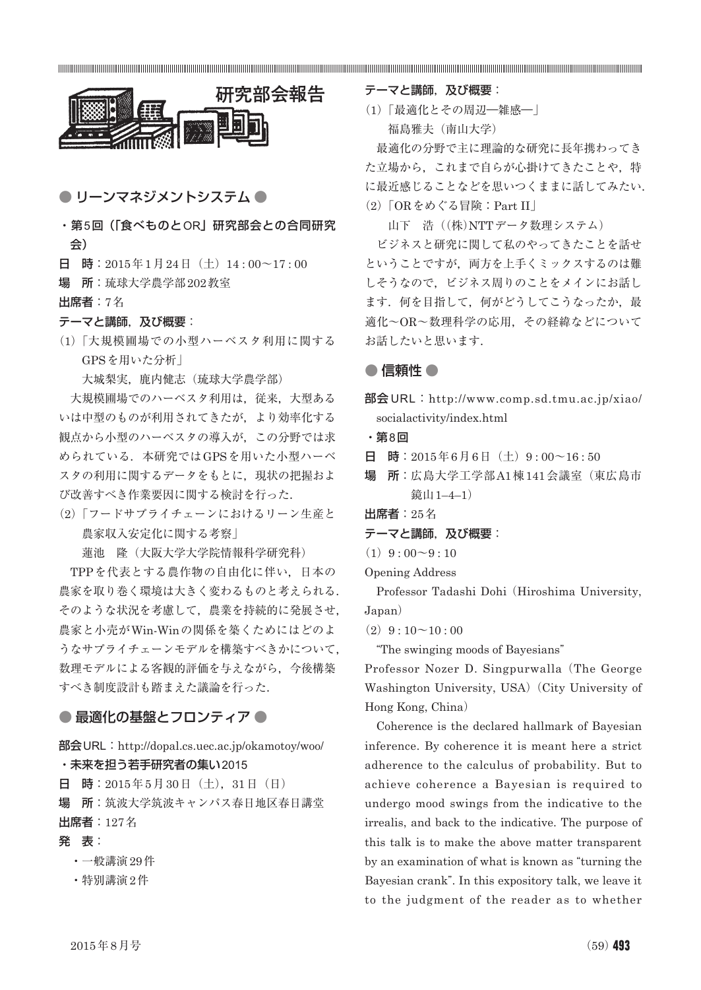

● リーンマネジメントシステム ●

- ・第5回(「食べものとOR」研究部会との合同研究 会)
- 日 時: 2015年1月24日 (土) 14:00~17:00
- 場 所:琉球大学農学部202教室

出席者:7名

#### テーマと講師,及び概要:

(1)「大規模圃場での小型ハーベスタ利用に関する GPSを用いた分析」

大城梨実, 鹿内健志 (琉球大学農学部)

大規模圃場でのハーベスタ利用は,従来,大型ある いは中型のものが利用されてきたが,より効率化する 観点から小型のハーベスタの導入が,この分野では求 められている. 本研究ではGPSを用いた小型ハーベ スタの利用に関するデータをもとに,現状の把握およ び改善すべき作業要因に関する検討を行った.

(2)「フードサプライチェーンにおけるリーン生産と 農家収入安定化に関する考察」

蓮池 隆(大阪大学大学院情報科学研究科)

TPPを代表とする農作物の自由化に伴い,日本の 農家を取り巻く環境は大きく変わるものと考えられる. そのような状況を考慮して,農業を持続的に発展させ, 農家と小売がWin-Winの関係を築くためにはどのよ うなサプライチェーンモデルを構築すべきかについて, 数理モデルによる客観的評価を与えながら,今後構築 すべき制度設計も踏まえた議論を行った.

#### ● 最適化の基盤とフロンティア ●

部会 URL: http://dopal.cs.uec.ac.jp/okamotoy/woo/ ・未来を担う若手研究者の集い2015

日 時:2015年5月30日(土),31日(日)

場 所:筑波大学筑波キャンパス春日地区春日講堂 出席者:127名

## 発 表:

- ・一般講演29件
- ・特別講演2件

テーマと講師, 及び概要:

(1)「最適化とその周辺―雑感―」 福島雅夫(南山大学)

最適化の分野で主に理論的な研究に長年携わってき た立場から、これまで自らが心掛けてきたことや、特 に最近感じることなどを思いつくままに話してみたい. (2)「ORをめぐる冒険:Part II」

山下 浩((株)NTTデータ数理システム)

ビジネスと研究に関して私のやってきたことを話せ ということですが,両方を上手くミックスするのは難 しそうなので,ビジネス周りのことをメインにお話し ます. 何を目指して、何がどうしてこうなったか、最 適化~OR~数理科学の応用,その経緯などについて お話したいと思います.

## ● 信頼性 ●

部会 URL: http://www.comp.sd.tmu.ac.jp/xiao/ socialactivity/index.html

・第8回

日 時: 2015年6月6日 (土) 9:00~16:50

場 所:広島大学工学部A1棟141会議室(東広島市 鏡山1–4–1)

出席者:25名

テーマと講師, 及び概要:

 $(1)9:00~9:10$ 

Opening Address

Professor Tadashi Dohi (Hiroshima University, Japan)

 $(2)9:10~10:00$ 

"The swinging moods of Bayesians"

Professor Nozer D. Singpurwalla (The George Washington University, USA) (City University of Hong Kong, China)

Coherence is the declared hallmark of Bayesian inference. By coherence it is meant here a strict adherence to the calculus of probability. But to achieve coherence a Bayesian is required to undergo mood swings from the indicative to the irrealis, and back to the indicative. The purpose of this talk is to make the above matter transparent by an examination of what is known as "turning the Bayesian crank". In this expository talk, we leave it to the judgment of the reader as to whether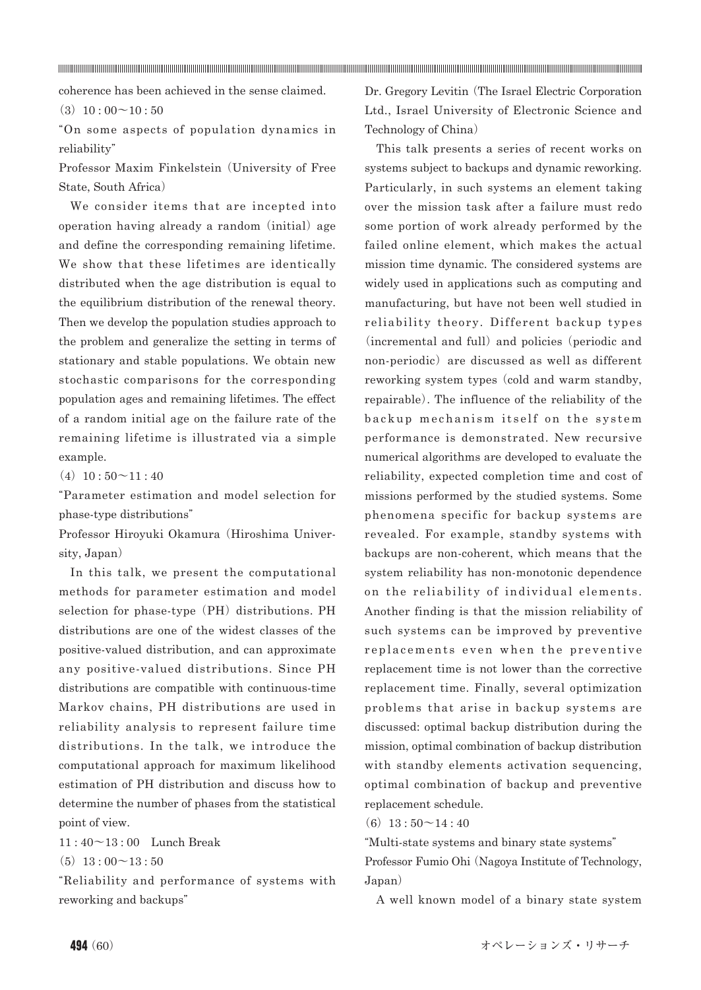coherence has been achieved in the sense claimed.

 $(3)$  10 : 00 ~ 10 : 50

"On some aspects of population dynamics in reliability"

Professor Maxim Finkelstein (University of Free State, South Africa)

We consider items that are incepted into operation having already a random (initial) age and define the corresponding remaining lifetime. We show that these lifetimes are identically distributed when the age distribution is equal to the equilibrium distribution of the renewal theory. Then we develop the population studies approach to the problem and generalize the setting in terms of stationary and stable populations. We obtain new stochastic comparisons for the corresponding population ages and remaining lifetimes. The effect of a random initial age on the failure rate of the remaining lifetime is illustrated via a simple example.

 $(4)$  10 :  $50 \sim 11 : 40$ 

"Parameter estimation and model selection for phase-type distributions"

Professor Hiroyuki Okamura (Hiroshima University, Japan)

In this talk, we present the computational methods for parameter estimation and model selection for phase-type (PH) distributions. PH distributions are one of the widest classes of the positive-valued distribution, and can approximate any positive-valued distributions. Since PH distributions are compatible with continuous-time Markov chains, PH distributions are used in reliability analysis to represent failure time distributions. In the talk, we introduce the computational approach for maximum likelihood estimation of PH distribution and discuss how to determine the number of phases from the statistical point of view.

11 : 40~13 : 00 Lunch Break

 $(5)$  13 : 00  $\sim$  13 : 50

"Reliability and performance of systems with reworking and backups"

Dr. Gregory Levitin (The Israel Electric Corporation Ltd., Israel University of Electronic Science and Technology of China)

This talk presents a series of recent works on systems subject to backups and dynamic reworking. Particularly, in such systems an element taking over the mission task after a failure must redo some portion of work already performed by the failed online element, which makes the actual mission time dynamic. The considered systems are widely used in applications such as computing and manufacturing, but have not been well studied in reliability theory. Different backup types (incremental and full) and policies (periodic and non-periodic) are discussed as well as different reworking system types (cold and warm standby, repairable). The influence of the reliability of the backup mechanism itself on the system performance is demonstrated. New recursive numerical algorithms are developed to evaluate the reliability, expected completion time and cost of missions performed by the studied systems. Some phenomena specific for backup systems are revealed. For example, standby systems with backups are non-coherent, which means that the system reliability has non-monotonic dependence on the reliability of individual elements. Another finding is that the mission reliability of such systems can be improved by preventive replacements even when the preventive replacement time is not lower than the corrective replacement time. Finally, several optimization problems that arise in backup systems are discussed: optimal backup distribution during the mission, optimal combination of backup distribution with standby elements activation sequencing, optimal combination of backup and preventive replacement schedule.

 $(6)$  13 :  $50 \sim 14 : 40$ 

"Multi-state systems and binary state systems" Professor Fumio Ohi (Nagoya Institute of Technology, Japan)

A well known model of a binary state system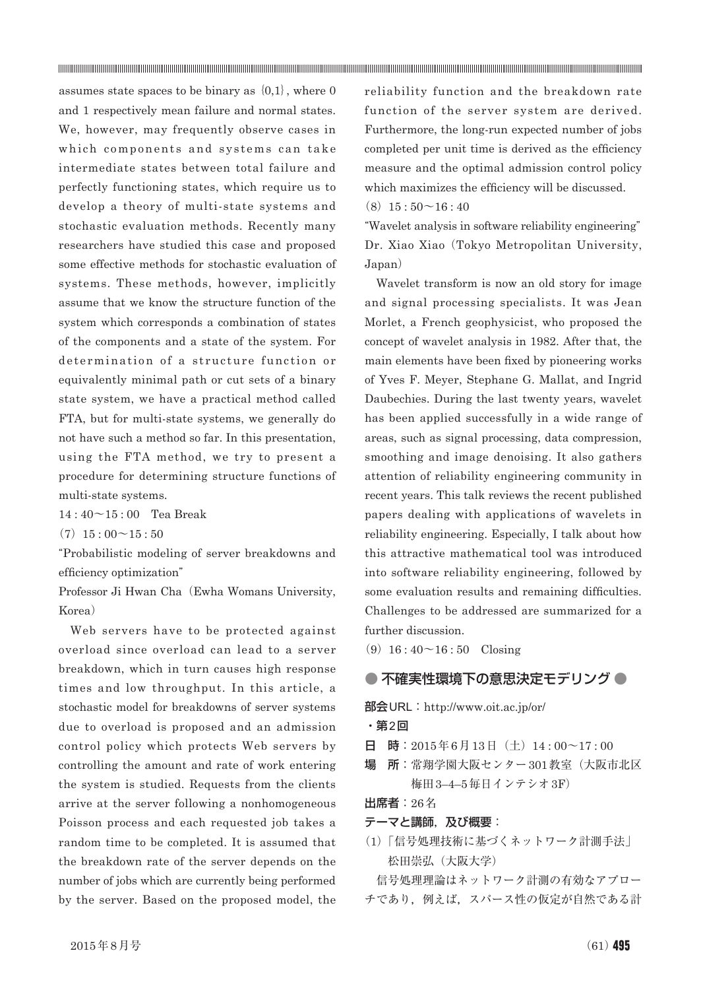assumes state spaces to be binary as  $\{0,1\}$ , where 0 and 1 respectively mean failure and normal states. We, however, may frequently observe cases in which components and systems can take intermediate states between total failure and perfectly functioning states, which require us to develop a theory of multi-state systems and stochastic evaluation methods. Recently many researchers have studied this case and proposed some effective methods for stochastic evaluation of systems. These methods, however, implicitly assume that we know the structure function of the system which corresponds a combination of states of the components and a state of the system. For determination of a structure function or equivalently minimal path or cut sets of a binary state system, we have a practical method called FTA, but for multi-state systems, we generally do not have such a method so far. In this presentation, using the FTA method, we try to present a procedure for determining structure functions of multi-state systems.

14 : 40~15 : 00 Tea Break

 $(7)$  15 : 00 ~ 15 : 50

"Probabilistic modeling of server breakdowns and efficiency optimization"

Professor Ji Hwan Cha (Ewha Womans University, Korea)

Web servers have to be protected against overload since overload can lead to a server breakdown, which in turn causes high response times and low throughput. In this article, a stochastic model for breakdowns of server systems due to overload is proposed and an admission control policy which protects Web servers by controlling the amount and rate of work entering the system is studied. Requests from the clients arrive at the server following a nonhomogeneous Poisson process and each requested job takes a random time to be completed. It is assumed that the breakdown rate of the server depends on the number of jobs which are currently being performed by the server. Based on the proposed model, the

reliability function and the breakdown rate function of the server system are derived. Furthermore, the long-run expected number of jobs completed per unit time is derived as the efficiency measure and the optimal admission control policy which maximizes the efficiency will be discussed.  $(8)$  15 : 50 ~ 16 : 40

"Wavelet analysis in software reliability engineering" Dr. Xiao Xiao (Tokyo Metropolitan University, Japan)

Wavelet transform is now an old story for image and signal processing specialists. It was Jean Morlet, a French geophysicist, who proposed the concept of wavelet analysis in 1982. After that, the main elements have been fixed by pioneering works of Yves F. Meyer, Stephane G. Mallat, and Ingrid Daubechies. During the last twenty years, wavelet has been applied successfully in a wide range of areas, such as signal processing, data compression, smoothing and image denoising. It also gathers attention of reliability engineering community in recent years. This talk reviews the recent published papers dealing with applications of wavelets in reliability engineering. Especially, I talk about how this attractive mathematical tool was introduced into software reliability engineering, followed by some evaluation results and remaining difficulties. Challenges to be addressed are summarized for a further discussion.

 $(9)$  16 : 40 ~ 16 : 50 Closing

# ● 不確実性環境下の意思決定モデリング ●

部会 URL: http://www.oit.ac.jp/or/

・第2回

- 日 時: 2015年6月13日 (土) 14:00~17:00
- 場 所:常翔学園大阪センター301教室(大阪市北区 梅田3–4–5毎日インテシオ3F)

出席者:26名

- テーマと講師, 及び概要:
- (1)「信号処理技術に基づくネットワーク計測手法」 松田崇弘(大阪大学)

信号処理理論はネットワーク計測の有効なアプロー チであり,例えば,スパース性の仮定が自然である計